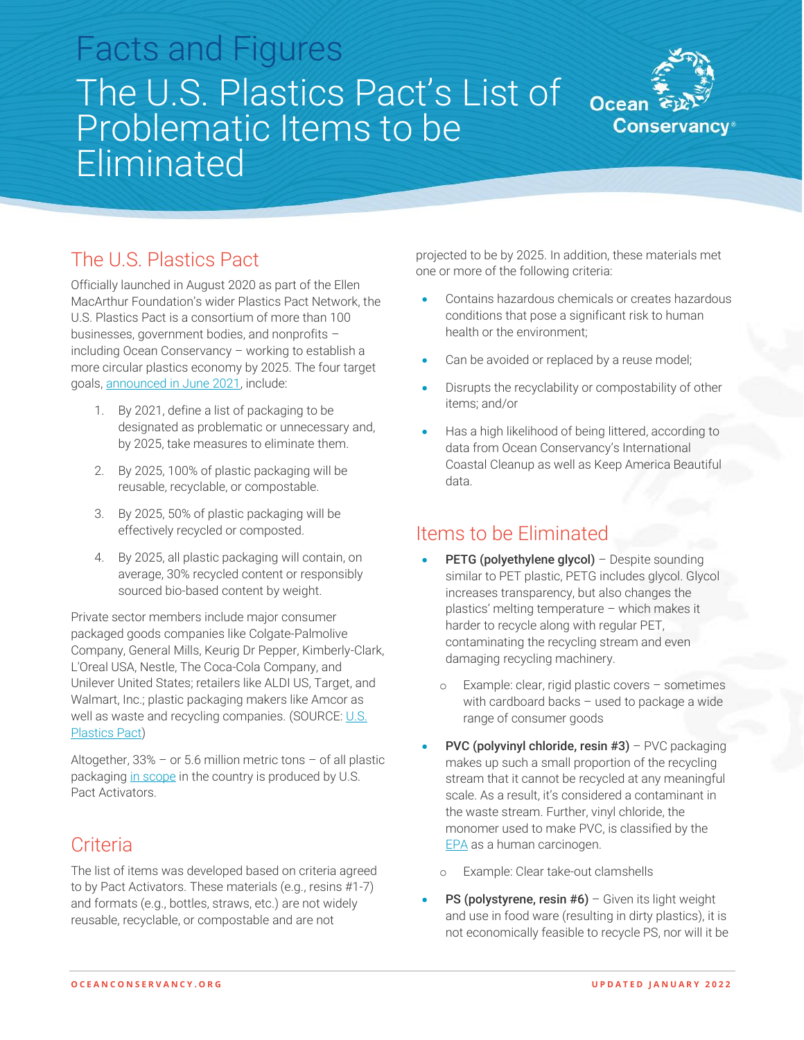# Facts and Figures The U.S. Plastics Pact's List of Problematic Items to be Eliminated



## The U.S. Plastics Pact

Officially launched in August 2020 as part of the Ellen MacArthur Foundation's wider Plastics Pact Network, the U.S. Plastics Pact is a consortium of more than 100 businesses, government bodies, and nonprofits – including Ocean Conservancy – working to establish a more circular plastics economy by 2025. The four target goals, [announced in June 2021,](https://usplasticspact.org/u-s-plastics-pact-unveils-national-strategy-to-achieve-2025-circular-economy-goals/) include:

- 1. By 2021, define a list of packaging to be designated as problematic or unnecessary and, by 2025, take measures to eliminate them.
- 2. By 2025, 100% of plastic packaging will be reusable, recyclable, or compostable.
- 3. By 2025, 50% of plastic packaging will be effectively recycled or composted.
- 4. By 2025, all plastic packaging will contain, on average, 30% recycled content or responsibly sourced bio-based content by weight.

Private sector members include major consumer packaged goods companies like Colgate-Palmolive Company, General Mills, Keurig Dr Pepper, Kimberly-Clark, L'Oreal USA, Nestle, The Coca-Cola Company, and Unilever United States; retailers like ALDI US, Target, and Walmart, Inc.; plastic packaging makers like Amcor as well as waste and recycling companies. (SOURCE: U.S. [Plastics Pact\)](https://usplasticspact.org/about/)

Altogether, 33% – or 5.6 million metric tons – of all plastic packaging [in scope](https://usplasticspact.org/us-plastics-pact-scope/) in the country is produced by U.S. Pact Activators.

## **Criteria**

The list of items was developed based on criteria agreed to by Pact Activators. These materials (e.g., resins #1-7) and formats (e.g., bottles, straws, etc.) are not widely reusable, recyclable, or compostable and are not

projected to be by 2025. In addition, these materials met one or more of the following criteria:

- Contains hazardous chemicals or creates hazardous conditions that pose a significant risk to human health or the environment;
- Can be avoided or replaced by a reuse model;
- Disrupts the recyclability or compostability of other items; and/or
- Has a high likelihood of being littered, according to data from Ocean Conservancy's International Coastal Cleanup as well as Keep America Beautiful data.

#### Items to be Eliminated

- PETG (polyethylene glycol) Despite sounding similar to PET plastic, PETG includes glycol. Glycol increases transparency, but also changes the plastics' melting temperature – which makes it harder to recycle along with regular PET, contaminating the recycling stream and even damaging recycling machinery.
	- o Example: clear, rigid plastic covers sometimes with cardboard backs – used to package a wide range of consumer goods
- PVC (polyvinyl chloride, resin #3) PVC packaging makes up such a small proportion of the recycling stream that it cannot be recycled at any meaningful scale. As a result, it's considered a contaminant in the waste stream. Further, vinyl chloride, the monomer used to make PVC, is classified by the [EPA](https://cfpub.epa.gov/ncea/iris2/chemicalLanding.cfm?substance_nmbr=1001) as a human carcinogen.
	- Example: Clear take-out clamshells
- **PS (polystyrene, resin**  $#6$ **)** Given its light weight and use in food ware (resulting in dirty plastics), it is not economically feasible to recycle PS, nor will it be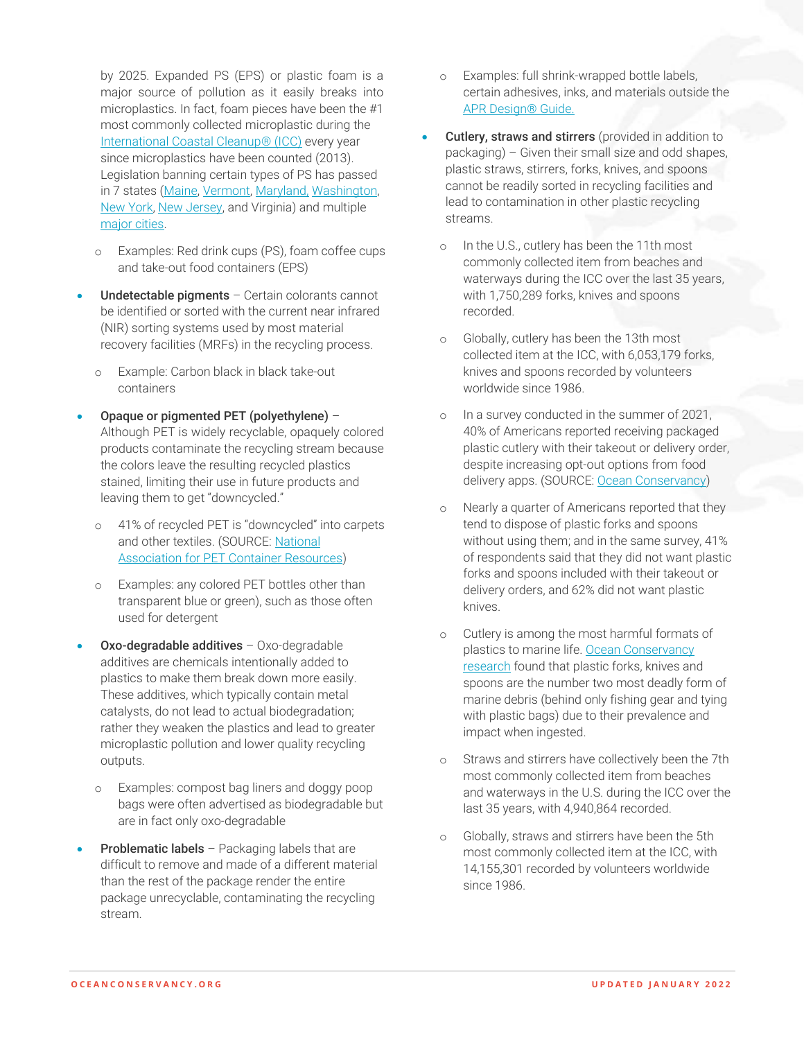by 2025. Expanded PS (EPS) or plastic foam is a major source of pollution as it easily breaks into microplastics. In fact, foam pieces have been the #1 most commonly collected microplastic during the [International Coastal Cleanup® \(ICC\)](https://oceanconservancy.org/wp-content/uploads/2021/09/2020-ICC-Report_Web_FINAL-0909.pdf) every year since microplastics have been counted (2013). Legislation banning certain types of PS has passed in 7 states [\(Maine,](https://www.wastedive.com/news/maine-becomes-first-in-the-nation-to-enact-statewide-foam-ban/553908/) [Vermont,](https://www.wastedive.com/news/maine-vermont-governors-sign-plastic-bag-bans-on-same-day/557098/) [Maryland,](https://www.wastedive.com/news/maryland-legislature-advances-statewide-eps-foam-ban-bill/550844/) [Washington,](https://ecology.wa.gov/Waste-Toxics/Reducing-recycling-waste/Waste-reduction-programs/Plastics/2021-plastic-pollution-laws/Expanded-polystyrene-ban)  [New York,](https://www.dec.ny.gov/press/124479.html) [New Jersey,](https://www.wastedive.com/news/new-jersey-plastic-paper-bag-polystyrene-foam-straws/585859/) and Virginia) and multiple [major cities.](https://www.sierraclub.org/massachusetts/polystyrene-food-packaging)

- o Examples: Red drink cups (PS), foam coffee cups and take-out food containers (EPS)
- Undetectable pigments Certain colorants cannot be identified or sorted with the current near infrared (NIR) sorting systems used by most material recovery facilities (MRFs) in the recycling process.
	- o Example: Carbon black in black take-out containers
- Opaque or pigmented PET (polyethylene) Although PET is widely recyclable, opaquely colored products contaminate the recycling stream because the colors leave the resulting recycled plastics stained, limiting their use in future products and leaving them to get "downcycled."
	- o 41% of recycled PET is "downcycled" into carpets and other textiles. (SOURCE: [National](https://napcor.com/news/4970-2/)  [Association for PET Container Resources\)](https://napcor.com/news/4970-2/)
	- o Examples: any colored PET bottles other than transparent blue or green), such as those often used for detergent
- Oxo-degradable additives Oxo-degradable additives are chemicals intentionally added to plastics to make them break down more easily. These additives, which typically contain metal catalysts, do not lead to actual biodegradation; rather they weaken the plastics and lead to greater microplastic pollution and lower quality recycling outputs.
	- o Examples: compost bag liners and doggy poop bags were often advertised as biodegradable but are in fact only oxo-degradable
- **Problematic labels** Packaging labels that are difficult to remove and made of a different material than the rest of the package render the entire package unrecyclable, contaminating the recycling stream.
- o Examples: full shrink-wrapped bottle labels, certain adhesives, inks, and materials outside the [APR Design® Guide.](https://plasticsrecycling.org/apr-design-guide)
- Cutlery, straws and stirrers (provided in addition to packaging) – Given their small size and odd shapes, plastic straws, stirrers, forks, knives, and spoons cannot be readily sorted in recycling facilities and lead to contamination in other plastic recycling streams.
	- o In the U.S., cutlery has been the 11th most commonly collected item from beaches and waterways during the ICC over the last 35 years, with 1,750,289 forks, knives and spoons recorded.
	- o Globally, cutlery has been the 13th most collected item at the ICC, with 6,053,179 forks, knives and spoons recorded by volunteers worldwide since 1986.
	- o In a survey conducted in the summer of 2021, 40% of Americans reported receiving packaged plastic cutlery with their takeout or delivery order, despite increasing opt-out options from food delivery apps. (SOURCE: [Ocean Conservancy\)](https://oceanconservancy.org/blog/2021/11/15/debunking-foodware-myths-america-recycles-day/)
	- o Nearly a quarter of Americans reported that they tend to dispose of plastic forks and spoons without using them; and in the same survey, 41% of respondents said that they did not want plastic forks and spoons included with their takeout or delivery orders, and 62% did not want plastic knives.
	- Cutlery is among the most harmful formats of plastics to marine life. Ocean Conservancy [research](https://oceanconservancy.org/wp-content/uploads/2017/05/2016-threat-rank-report.pdf) found that plastic forks, knives and spoons are the number two most deadly form of marine debris (behind only fishing gear and tying with plastic bags) due to their prevalence and impact when ingested.
	- o Straws and stirrers have collectively been the 7th most commonly collected item from beaches and waterways in the U.S. during the ICC over the last 35 years, with 4,940,864 recorded.
	- o Globally, straws and stirrers have been the 5th most commonly collected item at the ICC, with 14,155,301 recorded by volunteers worldwide since 1986.